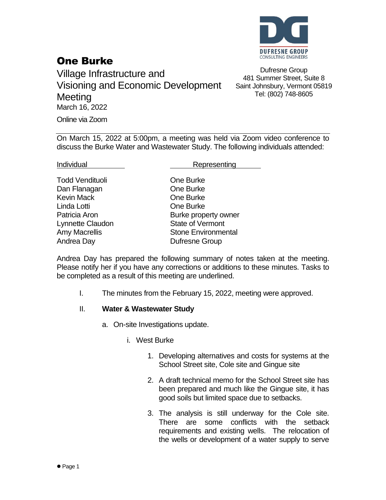

# One Burke

Village Infrastructure and Visioning and Economic Development Meeting March 16, 2022 Online via Zoom

Dufresne Group 481 Summer Street, Suite 8 Saint Johnsbury, Vermont 05819 Tel: (802) 748-8605

On March 15, 2022 at 5:00pm, a meeting was held via Zoom video conference to discuss the Burke Water and Wastewater Study. The following individuals attended:

Todd Vendituoli **Communist Communist Communist Communist Communist Communist Communist Communist Communist Communist Communist Communist Communist Communist Communist Communist Communist Communist Communist Communist Commu** Dan Flanagan **Dan Flanagan** One Burke Kevin Mack **Communist Communist Communist Communist Communist Communist Communist Communist Communist Communist Communist Communist Communist Communist Communist Communist Communist Communist Communist Communist Communist** Linda Lotti One Burke Lynnette Claudon State of Vermont Andrea Day **Dufresne Group** 

Individual **Representing** 

Patricia Aron **Burke property owner** Amy Macrellis **Stone Environmental** 

Andrea Day has prepared the following summary of notes taken at the meeting. Please notify her if you have any corrections or additions to these minutes. Tasks to be completed as a result of this meeting are underlined.

I. The minutes from the February 15, 2022, meeting were approved.

# II. **Water & Wastewater Study**

- a. On-site Investigations update.
	- i. West Burke
		- 1. Developing alternatives and costs for systems at the School Street site, Cole site and Gingue site
		- 2. A draft technical memo for the School Street site has been prepared and much like the Gingue site, it has good soils but limited space due to setbacks.
		- 3. The analysis is still underway for the Cole site. There are some conflicts with the setback requirements and existing wells. The relocation of the wells or development of a water supply to serve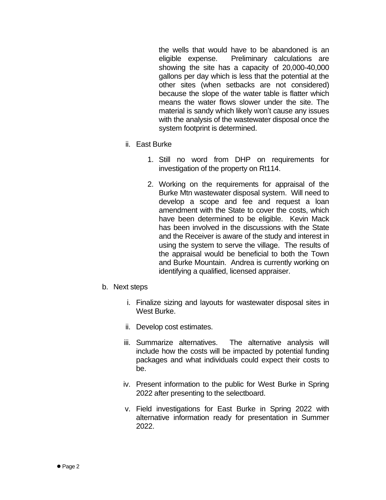the wells that would have to be abandoned is an eligible expense. Preliminary calculations are showing the site has a capacity of 20,000-40,000 gallons per day which is less that the potential at the other sites (when setbacks are not considered) because the slope of the water table is flatter which means the water flows slower under the site. The material is sandy which likely won't cause any issues with the analysis of the wastewater disposal once the system footprint is determined.

- ii. East Burke
	- 1. Still no word from DHP on requirements for investigation of the property on Rt114.
	- 2. Working on the requirements for appraisal of the Burke Mtn wastewater disposal system. Will need to develop a scope and fee and request a loan amendment with the State to cover the costs, which have been determined to be eligible. Kevin Mack has been involved in the discussions with the State and the Receiver is aware of the study and interest in using the system to serve the village. The results of the appraisal would be beneficial to both the Town and Burke Mountain. Andrea is currently working on identifying a qualified, licensed appraiser.

### b. Next steps

- i. Finalize sizing and layouts for wastewater disposal sites in West Burke.
- ii. Develop cost estimates.
- iii. Summarize alternatives. The alternative analysis will include how the costs will be impacted by potential funding packages and what individuals could expect their costs to be.
- iv. Present information to the public for West Burke in Spring 2022 after presenting to the selectboard.
- v. Field investigations for East Burke in Spring 2022 with alternative information ready for presentation in Summer 2022.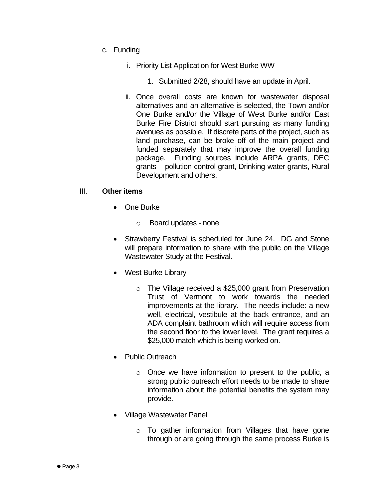- c. Funding
	- i. Priority List Application for West Burke WW
		- 1. Submitted 2/28, should have an update in April.
	- ii. Once overall costs are known for wastewater disposal alternatives and an alternative is selected, the Town and/or One Burke and/or the Village of West Burke and/or East Burke Fire District should start pursuing as many funding avenues as possible. If discrete parts of the project, such as land purchase, can be broke off of the main project and funded separately that may improve the overall funding package. Funding sources include ARPA grants, DEC grants – pollution control grant, Drinking water grants, Rural Development and others.

### III. **Other items**

- One Burke
	- o Board updates none
- Strawberry Festival is scheduled for June 24. DG and Stone will prepare information to share with the public on the Village Wastewater Study at the Festival.
- West Burke Library
	- o The Village received a \$25,000 grant from Preservation Trust of Vermont to work towards the needed improvements at the library. The needs include: a new well, electrical, vestibule at the back entrance, and an ADA complaint bathroom which will require access from the second floor to the lower level. The grant requires a \$25,000 match which is being worked on.
- Public Outreach
	- o Once we have information to present to the public, a strong public outreach effort needs to be made to share information about the potential benefits the system may provide.
- Village Wastewater Panel
	- o To gather information from Villages that have gone through or are going through the same process Burke is